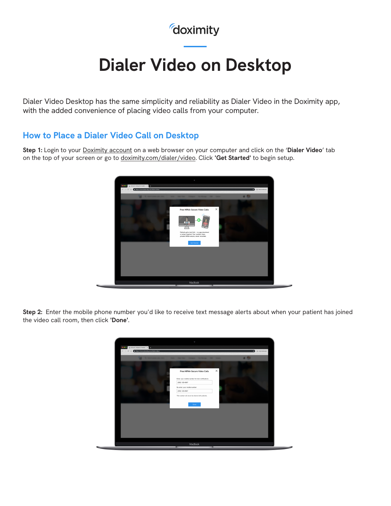## *doximity*

# **Dialer Video on Desktop**

Dialer Video Desktop has the same simplicity and reliability as Dialer Video in the Doximity app, with the added convenience of placing video calls from your computer.

#### **How to Place a Dialer Video Call on Desktop**

**Step 1:** Login to your [Doximity account](https://auth.doximity.com/sessions/login?redirect_to=https%3A%2F%2Fwww.doximity.com%2F) on a web browser on your computer and click on the '**Dialer Video**' tab on the top of your screen or go to [doximity.com/dialer/video](http://doximity.com/dialer/video). Click **'Get Started'** to begin setup.



**Step 2:** Enter the mobile phone number you'd like to receive text message alerts about when your patient has joined the video call room, then click **'Done'**.